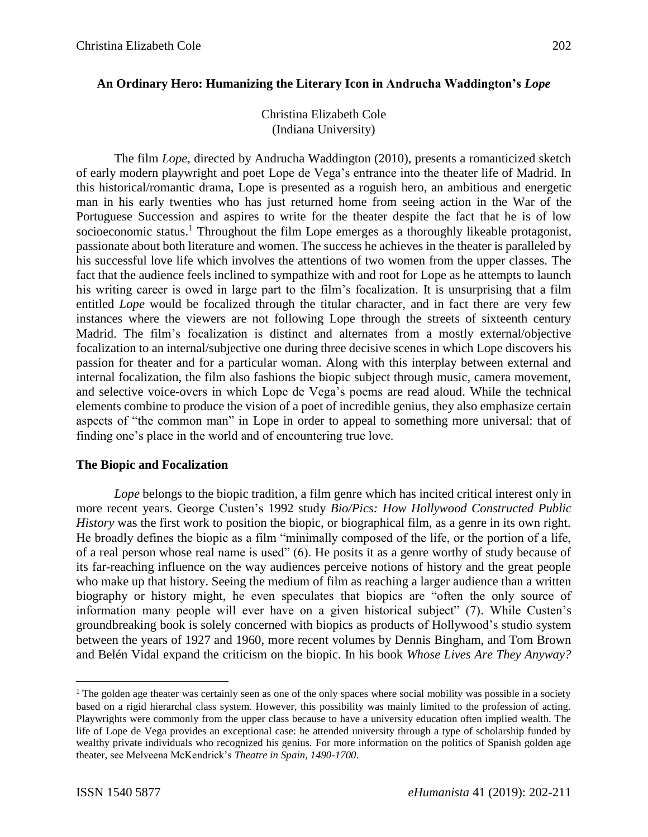Christina Elizabeth Cole (Indiana University)

The film *Lope*, directed by Andrucha Waddington (2010), presents a romanticized sketch of early modern playwright and poet Lope de Vega's entrance into the theater life of Madrid. In this historical/romantic drama, Lope is presented as a roguish hero, an ambitious and energetic man in his early twenties who has just returned home from seeing action in the War of the Portuguese Succession and aspires to write for the theater despite the fact that he is of low socioeconomic status.<sup>1</sup> Throughout the film Lope emerges as a thoroughly likeable protagonist, passionate about both literature and women. The success he achieves in the theater is paralleled by his successful love life which involves the attentions of two women from the upper classes. The fact that the audience feels inclined to sympathize with and root for Lope as he attempts to launch his writing career is owed in large part to the film's focalization. It is unsurprising that a film entitled *Lope* would be focalized through the titular character, and in fact there are very few instances where the viewers are not following Lope through the streets of sixteenth century Madrid. The film's focalization is distinct and alternates from a mostly external/objective focalization to an internal/subjective one during three decisive scenes in which Lope discovers his passion for theater and for a particular woman. Along with this interplay between external and internal focalization, the film also fashions the biopic subject through music, camera movement, and selective voice-overs in which Lope de Vega's poems are read aloud. While the technical elements combine to produce the vision of a poet of incredible genius, they also emphasize certain aspects of "the common man" in Lope in order to appeal to something more universal: that of finding one's place in the world and of encountering true love.

## **The Biopic and Focalization**

*Lope* belongs to the biopic tradition, a film genre which has incited critical interest only in more recent years. George Custen's 1992 study *Bio/Pics: How Hollywood Constructed Public History* was the first work to position the biopic, or biographical film, as a genre in its own right. He broadly defines the biopic as a film "minimally composed of the life, or the portion of a life, of a real person whose real name is used" (6). He posits it as a genre worthy of study because of its far-reaching influence on the way audiences perceive notions of history and the great people who make up that history. Seeing the medium of film as reaching a larger audience than a written biography or history might, he even speculates that biopics are "often the only source of information many people will ever have on a given historical subject" (7). While Custen's groundbreaking book is solely concerned with biopics as products of Hollywood's studio system between the years of 1927 and 1960, more recent volumes by Dennis Bingham, and Tom Brown and Belén Vidal expand the criticism on the biopic. In his book *Whose Lives Are They Anyway?*

<sup>&</sup>lt;sup>1</sup> The golden age theater was certainly seen as one of the only spaces where social mobility was possible in a society based on a rigid hierarchal class system. However, this possibility was mainly limited to the profession of acting. Playwrights were commonly from the upper class because to have a university education often implied wealth. The life of Lope de Vega provides an exceptional case: he attended university through a type of scholarship funded by wealthy private individuals who recognized his genius. For more information on the politics of Spanish golden age theater, see Melveena McKendrick's *Theatre in Spain, 1490-1700.*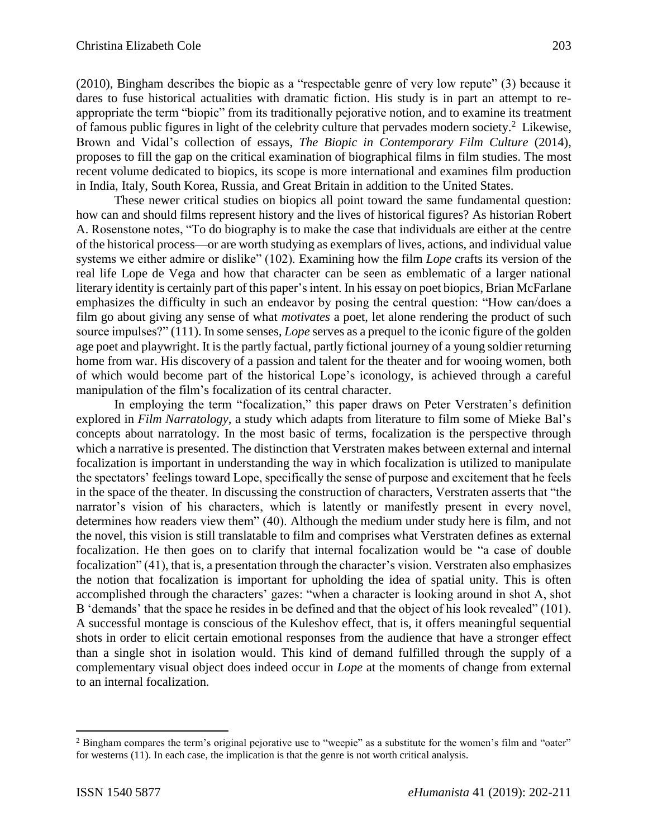(2010), Bingham describes the biopic as a "respectable genre of very low repute" (3) because it dares to fuse historical actualities with dramatic fiction. His study is in part an attempt to reappropriate the term "biopic" from its traditionally pejorative notion, and to examine its treatment of famous public figures in light of the celebrity culture that pervades modern society.<sup>2</sup> Likewise, Brown and Vidal's collection of essays, *The Biopic in Contemporary Film Culture* (2014), proposes to fill the gap on the critical examination of biographical films in film studies. The most recent volume dedicated to biopics, its scope is more international and examines film production in India, Italy, South Korea, Russia, and Great Britain in addition to the United States.

These newer critical studies on biopics all point toward the same fundamental question: how can and should films represent history and the lives of historical figures? As historian Robert A. Rosenstone notes, "To do biography is to make the case that individuals are either at the centre of the historical process—or are worth studying as exemplars of lives, actions, and individual value systems we either admire or dislike" (102). Examining how the film *Lope* crafts its version of the real life Lope de Vega and how that character can be seen as emblematic of a larger national literary identity is certainly part of this paper's intent. In his essay on poet biopics, Brian McFarlane emphasizes the difficulty in such an endeavor by posing the central question: "How can/does a film go about giving any sense of what *motivates* a poet, let alone rendering the product of such source impulses?" (111). In some senses, *Lope* serves as a prequel to the iconic figure of the golden age poet and playwright. It is the partly factual, partly fictional journey of a young soldier returning home from war. His discovery of a passion and talent for the theater and for wooing women, both of which would become part of the historical Lope's iconology, is achieved through a careful manipulation of the film's focalization of its central character.

In employing the term "focalization," this paper draws on Peter Verstraten's definition explored in *Film Narratology*, a study which adapts from literature to film some of Mieke Bal's concepts about narratology. In the most basic of terms, focalization is the perspective through which a narrative is presented. The distinction that Verstraten makes between external and internal focalization is important in understanding the way in which focalization is utilized to manipulate the spectators' feelings toward Lope, specifically the sense of purpose and excitement that he feels in the space of the theater. In discussing the construction of characters, Verstraten asserts that "the narrator's vision of his characters, which is latently or manifestly present in every novel, determines how readers view them" (40). Although the medium under study here is film, and not the novel, this vision is still translatable to film and comprises what Verstraten defines as external focalization. He then goes on to clarify that internal focalization would be "a case of double focalization" (41), that is, a presentation through the character's vision. Verstraten also emphasizes the notion that focalization is important for upholding the idea of spatial unity. This is often accomplished through the characters' gazes: "when a character is looking around in shot A, shot B 'demands' that the space he resides in be defined and that the object of his look revealed" (101). A successful montage is conscious of the Kuleshov effect, that is, it offers meaningful sequential shots in order to elicit certain emotional responses from the audience that have a stronger effect than a single shot in isolation would. This kind of demand fulfilled through the supply of a complementary visual object does indeed occur in *Lope* at the moments of change from external to an internal focalization*.*

 $\overline{a}$ 

<sup>&</sup>lt;sup>2</sup> Bingham compares the term's original pejorative use to "weepie" as a substitute for the women's film and "oater" for westerns (11). In each case, the implication is that the genre is not worth critical analysis.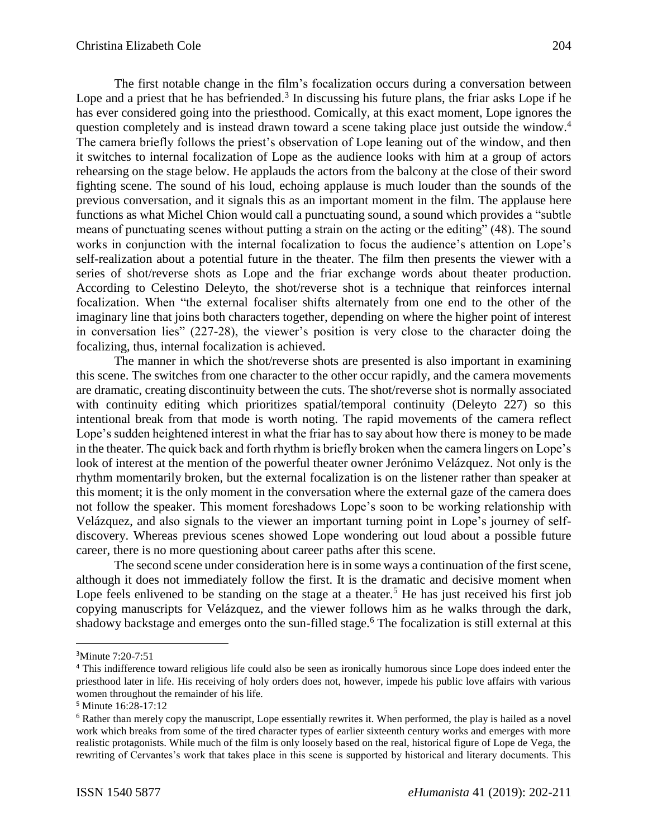The first notable change in the film's focalization occurs during a conversation between Lope and a priest that he has befriended.<sup>3</sup> In discussing his future plans, the friar asks Lope if he has ever considered going into the priesthood. Comically, at this exact moment, Lope ignores the question completely and is instead drawn toward a scene taking place just outside the window.<sup>4</sup> The camera briefly follows the priest's observation of Lope leaning out of the window, and then it switches to internal focalization of Lope as the audience looks with him at a group of actors rehearsing on the stage below. He applauds the actors from the balcony at the close of their sword fighting scene. The sound of his loud, echoing applause is much louder than the sounds of the previous conversation, and it signals this as an important moment in the film. The applause here functions as what Michel Chion would call a punctuating sound, a sound which provides a "subtle means of punctuating scenes without putting a strain on the acting or the editing" (48). The sound works in conjunction with the internal focalization to focus the audience's attention on Lope's self-realization about a potential future in the theater. The film then presents the viewer with a series of shot/reverse shots as Lope and the friar exchange words about theater production. According to Celestino Deleyto, the shot/reverse shot is a technique that reinforces internal focalization. When "the external focaliser shifts alternately from one end to the other of the imaginary line that joins both characters together, depending on where the higher point of interest in conversation lies" (227-28), the viewer's position is very close to the character doing the focalizing, thus, internal focalization is achieved.

The manner in which the shot/reverse shots are presented is also important in examining this scene. The switches from one character to the other occur rapidly, and the camera movements are dramatic, creating discontinuity between the cuts. The shot/reverse shot is normally associated with continuity editing which prioritizes spatial/temporal continuity (Deleyto 227) so this intentional break from that mode is worth noting. The rapid movements of the camera reflect Lope's sudden heightened interest in what the friar has to say about how there is money to be made in the theater. The quick back and forth rhythm is briefly broken when the camera lingers on Lope's look of interest at the mention of the powerful theater owner Jerónimo Velázquez. Not only is the rhythm momentarily broken, but the external focalization is on the listener rather than speaker at this moment; it is the only moment in the conversation where the external gaze of the camera does not follow the speaker. This moment foreshadows Lope's soon to be working relationship with Velázquez, and also signals to the viewer an important turning point in Lope's journey of selfdiscovery. Whereas previous scenes showed Lope wondering out loud about a possible future career, there is no more questioning about career paths after this scene.

The second scene under consideration here is in some ways a continuation of the first scene, although it does not immediately follow the first. It is the dramatic and decisive moment when Lope feels enlivened to be standing on the stage at a theater.<sup>5</sup> He has just received his first job copying manuscripts for Velázquez, and the viewer follows him as he walks through the dark, shadowy backstage and emerges onto the sun-filled stage.<sup>6</sup> The focalization is still external at this

 $\overline{a}$ 

<sup>3</sup>Minute 7:20-7:51

<sup>4</sup> This indifference toward religious life could also be seen as ironically humorous since Lope does indeed enter the priesthood later in life. His receiving of holy orders does not, however, impede his public love affairs with various women throughout the remainder of his life.

<sup>5</sup> Minute 16:28-17:12

<sup>6</sup> Rather than merely copy the manuscript, Lope essentially rewrites it. When performed, the play is hailed as a novel work which breaks from some of the tired character types of earlier sixteenth century works and emerges with more realistic protagonists. While much of the film is only loosely based on the real, historical figure of Lope de Vega, the rewriting of Cervantes's work that takes place in this scene is supported by historical and literary documents. This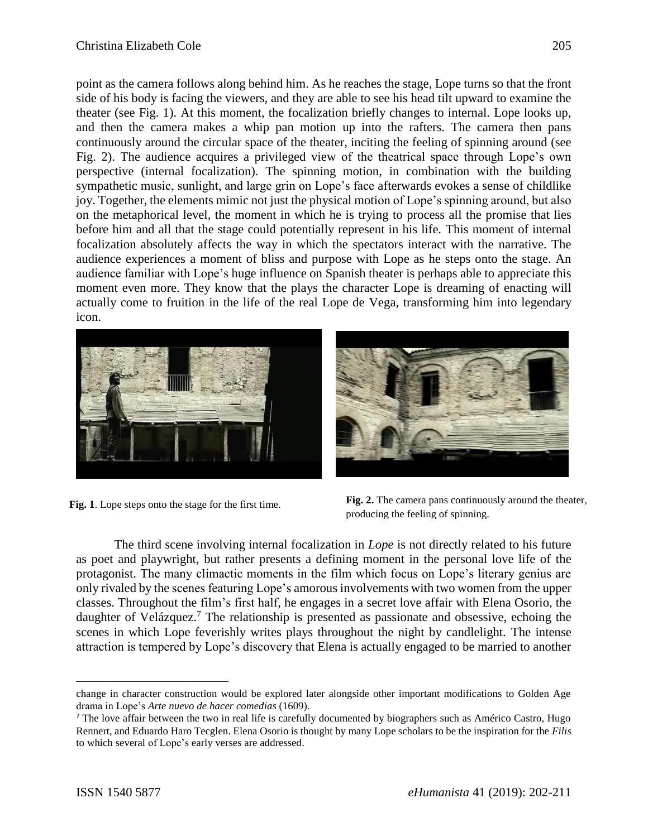point as the camera follows along behind him. As he reaches the stage, Lope turns so that the front side of his body is facing the viewers, and they are able to see his head tilt upward to examine the theater (see Fig. 1). At this moment, the focalization briefly changes to internal. Lope looks up, and then the camera makes a whip pan motion up into the rafters. The camera then pans continuously around the circular space of the theater, inciting the feeling of spinning around (see Fig. 2). The audience acquires a privileged view of the theatrical space through Lope's own perspective (internal focalization). The spinning motion, in combination with the building sympathetic music, sunlight, and large grin on Lope's face afterwards evokes a sense of childlike joy. Together, the elements mimic not just the physical motion of Lope's spinning around, but also on the metaphorical level, the moment in which he is trying to process all the promise that lies before him and all that the stage could potentially represent in his life. This moment of internal focalization absolutely affects the way in which the spectators interact with the narrative. The audience experiences a moment of bliss and purpose with Lope as he steps onto the stage. An audience familiar with Lope's huge influence on Spanish theater is perhaps able to appreciate this moment even more. They know that the plays the character Lope is dreaming of enacting will actually come to fruition in the life of the real Lope de Vega, transforming him into legendary icon.





**Fig. 1**. Lope steps onto the stage for the first time. **Fig. 2.** The camera pans continuously around the theater, producing the feeling of spinning.

The third scene involving internal focalization in *Lope* is not directly related to his future as poet and playwright, but rather presents a defining moment in the personal love life of the protagonist. The many climactic moments in the film which focus on Lope's literary genius are only rivaled by the scenes featuring Lope's amorous involvements with two women from the upper classes. Throughout the film's first half, he engages in a secret love affair with Elena Osorio, the daughter of Velázquez.<sup>7</sup> The relationship is presented as passionate and obsessive, echoing the scenes in which Lope feverishly writes plays throughout the night by candlelight. The intense attraction is tempered by Lope's discovery that Elena is actually engaged to be married to another

change in character construction would be explored later alongside other important modifications to Golden Age drama in Lope's *Arte nuevo de hacer comedias* (1609).

<sup>&</sup>lt;sup>7</sup> The love affair between the two in real life is carefully documented by biographers such as Américo Castro, Hugo Rennert, and Eduardo Haro Tecglen. Elena Osorio is thought by many Lope scholars to be the inspiration for the *Filis*  to which several of Lope's early verses are addressed.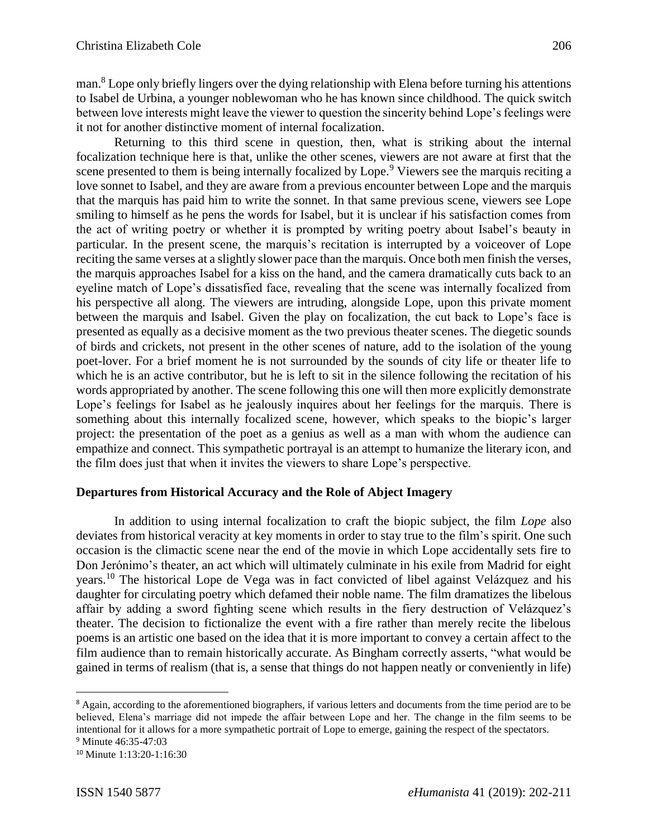man.<sup>8</sup> Lope only briefly lingers over the dying relationship with Elena before turning his attentions to Isabel de Urbina, a younger noblewoman who he has known since childhood. The quick switch between love interests might leave the viewer to question the sincerity behind Lope's feelings were it not for another distinctive moment of internal focalization.

Returning to this third scene in question, then, what is striking about the internal focalization technique here is that, unlike the other scenes, viewers are not aware at first that the scene presented to them is being internally focalized by Lope.<sup>9</sup> Viewers see the marquis reciting a love sonnet to Isabel, and they are aware from a previous encounter between Lope and the marquis that the marquis has paid him to write the sonnet. In that same previous scene, viewers see Lope smiling to himself as he pens the words for Isabel, but it is unclear if his satisfaction comes from the act of writing poetry or whether it is prompted by writing poetry about Isabel's beauty in particular. In the present scene, the marquis's recitation is interrupted by a voiceover of Lope reciting the same verses at a slightly slower pace than the marquis. Once both men finish the verses, the marquis approaches Isabel for a kiss on the hand, and the camera dramatically cuts back to an eyeline match of Lope's dissatisfied face, revealing that the scene was internally focalized from his perspective all along. The viewers are intruding, alongside Lope, upon this private moment between the marquis and Isabel. Given the play on focalization, the cut back to Lope's face is presented as equally as a decisive moment as the two previous theater scenes. The diegetic sounds of birds and crickets, not present in the other scenes of nature, add to the isolation of the young poet-lover. For a brief moment he is not surrounded by the sounds of city life or theater life to which he is an active contributor, but he is left to sit in the silence following the recitation of his words appropriated by another. The scene following this one will then more explicitly demonstrate Lope's feelings for Isabel as he jealously inquires about her feelings for the marquis. There is something about this internally focalized scene, however, which speaks to the biopic's larger project: the presentation of the poet as a genius as well as a man with whom the audience can empathize and connect. This sympathetic portrayal is an attempt to humanize the literary icon, and the film does just that when it invites the viewers to share Lope's perspective.

## **Departures from Historical Accuracy and the Role of Abject Imagery**

In addition to using internal focalization to craft the biopic subject, the film *Lope* also deviates from historical veracity at key moments in order to stay true to the film's spirit. One such occasion is the climactic scene near the end of the movie in which Lope accidentally sets fire to Don Jerónimo's theater, an act which will ultimately culminate in his exile from Madrid for eight years. <sup>10</sup> The historical Lope de Vega was in fact convicted of libel against Velázquez and his daughter for circulating poetry which defamed their noble name. The film dramatizes the libelous affair by adding a sword fighting scene which results in the fiery destruction of Velázquez's theater. The decision to fictionalize the event with a fire rather than merely recite the libelous poems is an artistic one based on the idea that it is more important to convey a certain affect to the film audience than to remain historically accurate. As Bingham correctly asserts, "what would be gained in terms of realism (that is, a sense that things do not happen neatly or conveniently in life)

<sup>&</sup>lt;sup>8</sup> Again, according to the aforementioned biographers, if various letters and documents from the time period are to be believed, Elena's marriage did not impede the affair between Lope and her. The change in the film seems to be intentional for it allows for a more sympathetic portrait of Lope to emerge, gaining the respect of the spectators. <sup>9</sup> Minute 46:35-47:03

<sup>10</sup> Minute 1:13:20-1:16:30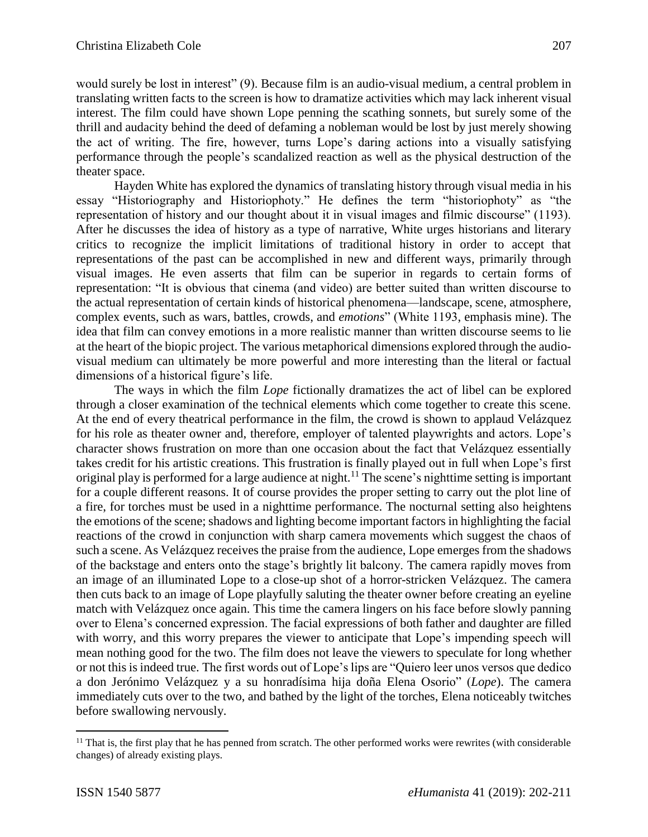would surely be lost in interest" (9). Because film is an audio-visual medium, a central problem in translating written facts to the screen is how to dramatize activities which may lack inherent visual interest. The film could have shown Lope penning the scathing sonnets, but surely some of the thrill and audacity behind the deed of defaming a nobleman would be lost by just merely showing the act of writing. The fire, however, turns Lope's daring actions into a visually satisfying performance through the people's scandalized reaction as well as the physical destruction of the theater space.

Hayden White has explored the dynamics of translating history through visual media in his essay "Historiography and Historiophoty." He defines the term "historiophoty" as "the representation of history and our thought about it in visual images and filmic discourse" (1193). After he discusses the idea of history as a type of narrative, White urges historians and literary critics to recognize the implicit limitations of traditional history in order to accept that representations of the past can be accomplished in new and different ways, primarily through visual images. He even asserts that film can be superior in regards to certain forms of representation: "It is obvious that cinema (and video) are better suited than written discourse to the actual representation of certain kinds of historical phenomena—landscape, scene, atmosphere, complex events, such as wars, battles, crowds, and *emotions*" (White 1193, emphasis mine). The idea that film can convey emotions in a more realistic manner than written discourse seems to lie at the heart of the biopic project. The various metaphorical dimensions explored through the audiovisual medium can ultimately be more powerful and more interesting than the literal or factual dimensions of a historical figure's life.

The ways in which the film *Lope* fictionally dramatizes the act of libel can be explored through a closer examination of the technical elements which come together to create this scene. At the end of every theatrical performance in the film, the crowd is shown to applaud Velázquez for his role as theater owner and, therefore, employer of talented playwrights and actors. Lope's character shows frustration on more than one occasion about the fact that Velázquez essentially takes credit for his artistic creations. This frustration is finally played out in full when Lope's first original play is performed for a large audience at night.<sup>11</sup> The scene's nighttime setting is important for a couple different reasons. It of course provides the proper setting to carry out the plot line of a fire, for torches must be used in a nighttime performance. The nocturnal setting also heightens the emotions of the scene; shadows and lighting become important factors in highlighting the facial reactions of the crowd in conjunction with sharp camera movements which suggest the chaos of such a scene. As Velázquez receives the praise from the audience, Lope emerges from the shadows of the backstage and enters onto the stage's brightly lit balcony. The camera rapidly moves from an image of an illuminated Lope to a close-up shot of a horror-stricken Velázquez. The camera then cuts back to an image of Lope playfully saluting the theater owner before creating an eyeline match with Velázquez once again. This time the camera lingers on his face before slowly panning over to Elena's concerned expression. The facial expressions of both father and daughter are filled with worry, and this worry prepares the viewer to anticipate that Lope's impending speech will mean nothing good for the two. The film does not leave the viewers to speculate for long whether or not this is indeed true. The first words out of Lope's lips are "Quiero leer unos versos que dedico a don Jerónimo Velázquez y a su honradísima hija doña Elena Osorio" (*Lope*). The camera immediately cuts over to the two, and bathed by the light of the torches, Elena noticeably twitches before swallowing nervously.

 $\overline{a}$ 

 $11$  That is, the first play that he has penned from scratch. The other performed works were rewrites (with considerable changes) of already existing plays.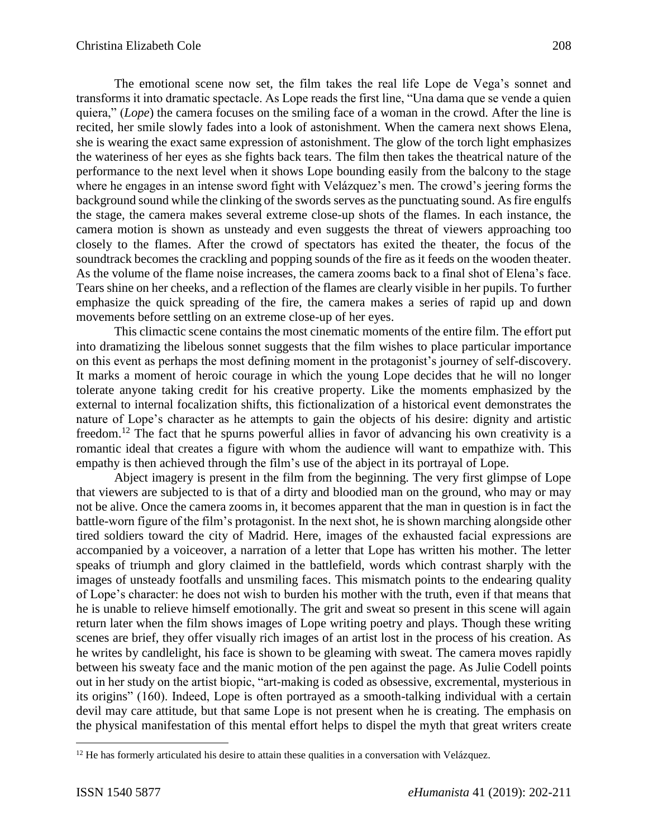The emotional scene now set, the film takes the real life Lope de Vega's sonnet and transforms it into dramatic spectacle. As Lope reads the first line, "Una dama que se vende a quien quiera," (*Lope*) the camera focuses on the smiling face of a woman in the crowd. After the line is recited, her smile slowly fades into a look of astonishment. When the camera next shows Elena, she is wearing the exact same expression of astonishment. The glow of the torch light emphasizes the wateriness of her eyes as she fights back tears. The film then takes the theatrical nature of the performance to the next level when it shows Lope bounding easily from the balcony to the stage where he engages in an intense sword fight with Velázquez's men. The crowd's jeering forms the background sound while the clinking of the swords serves as the punctuating sound. As fire engulfs the stage, the camera makes several extreme close-up shots of the flames. In each instance, the camera motion is shown as unsteady and even suggests the threat of viewers approaching too closely to the flames. After the crowd of spectators has exited the theater, the focus of the soundtrack becomes the crackling and popping sounds of the fire as it feeds on the wooden theater. As the volume of the flame noise increases, the camera zooms back to a final shot of Elena's face. Tears shine on her cheeks, and a reflection of the flames are clearly visible in her pupils. To further emphasize the quick spreading of the fire, the camera makes a series of rapid up and down movements before settling on an extreme close-up of her eyes.

This climactic scene contains the most cinematic moments of the entire film. The effort put into dramatizing the libelous sonnet suggests that the film wishes to place particular importance on this event as perhaps the most defining moment in the protagonist's journey of self-discovery. It marks a moment of heroic courage in which the young Lope decides that he will no longer tolerate anyone taking credit for his creative property. Like the moments emphasized by the external to internal focalization shifts, this fictionalization of a historical event demonstrates the nature of Lope's character as he attempts to gain the objects of his desire: dignity and artistic freedom.<sup>12</sup> The fact that he spurns powerful allies in favor of advancing his own creativity is a romantic ideal that creates a figure with whom the audience will want to empathize with. This empathy is then achieved through the film's use of the abject in its portrayal of Lope.

Abject imagery is present in the film from the beginning. The very first glimpse of Lope that viewers are subjected to is that of a dirty and bloodied man on the ground, who may or may not be alive. Once the camera zooms in, it becomes apparent that the man in question is in fact the battle-worn figure of the film's protagonist. In the next shot, he is shown marching alongside other tired soldiers toward the city of Madrid. Here, images of the exhausted facial expressions are accompanied by a voiceover, a narration of a letter that Lope has written his mother. The letter speaks of triumph and glory claimed in the battlefield, words which contrast sharply with the images of unsteady footfalls and unsmiling faces. This mismatch points to the endearing quality of Lope's character: he does not wish to burden his mother with the truth, even if that means that he is unable to relieve himself emotionally. The grit and sweat so present in this scene will again return later when the film shows images of Lope writing poetry and plays. Though these writing scenes are brief, they offer visually rich images of an artist lost in the process of his creation. As he writes by candlelight, his face is shown to be gleaming with sweat. The camera moves rapidly between his sweaty face and the manic motion of the pen against the page. As Julie Codell points out in her study on the artist biopic, "art-making is coded as obsessive, excremental, mysterious in its origins" (160). Indeed, Lope is often portrayed as a smooth-talking individual with a certain devil may care attitude, but that same Lope is not present when he is creating. The emphasis on the physical manifestation of this mental effort helps to dispel the myth that great writers create

 $12$  He has formerly articulated his desire to attain these qualities in a conversation with Velázquez.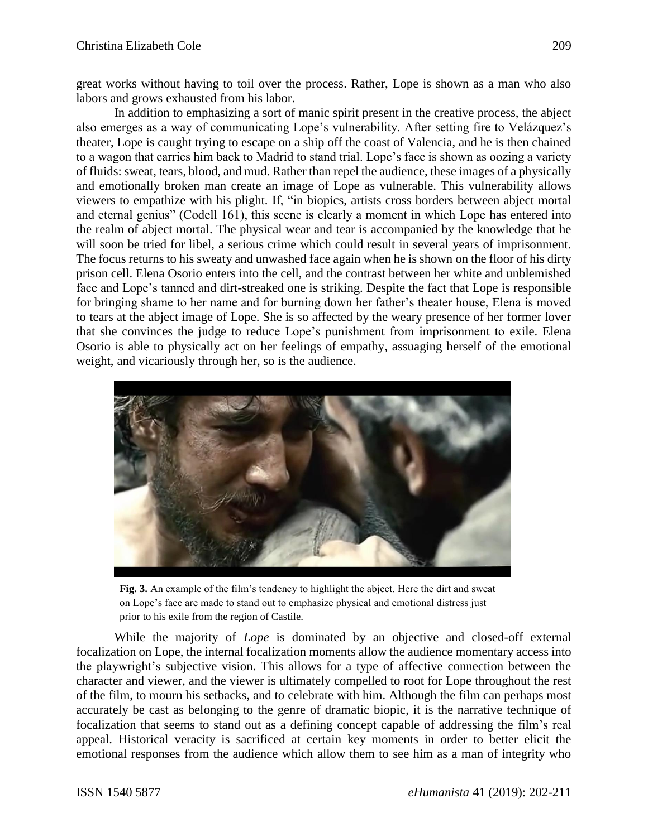great works without having to toil over the process. Rather, Lope is shown as a man who also labors and grows exhausted from his labor.

In addition to emphasizing a sort of manic spirit present in the creative process, the abject also emerges as a way of communicating Lope's vulnerability. After setting fire to Velázquez's theater, Lope is caught trying to escape on a ship off the coast of Valencia, and he is then chained to a wagon that carries him back to Madrid to stand trial. Lope's face is shown as oozing a variety of fluids: sweat, tears, blood, and mud. Rather than repel the audience, these images of a physically and emotionally broken man create an image of Lope as vulnerable. This vulnerability allows viewers to empathize with his plight. If, "in biopics, artists cross borders between abject mortal and eternal genius" (Codell 161), this scene is clearly a moment in which Lope has entered into the realm of abject mortal. The physical wear and tear is accompanied by the knowledge that he will soon be tried for libel, a serious crime which could result in several years of imprisonment. The focus returns to his sweaty and unwashed face again when he is shown on the floor of his dirty prison cell. Elena Osorio enters into the cell, and the contrast between her white and unblemished face and Lope's tanned and dirt-streaked one is striking. Despite the fact that Lope is responsible for bringing shame to her name and for burning down her father's theater house, Elena is moved to tears at the abject image of Lope. She is so affected by the weary presence of her former lover that she convinces the judge to reduce Lope's punishment from imprisonment to exile. Elena Osorio is able to physically act on her feelings of empathy, assuaging herself of the emotional weight, and vicariously through her, so is the audience.



**Fig. 3.** An example of the film's tendency to highlight the abject. Here the dirt and sweat on Lope's face are made to stand out to emphasize physical and emotional distress just prior to his exile from the region of Castile.

While the majority of *Lope* is dominated by an objective and closed-off external focalization on Lope, the internal focalization moments allow the audience momentary access into the playwright's subjective vision. This allows for a type of affective connection between the character and viewer, and the viewer is ultimately compelled to root for Lope throughout the rest of the film, to mourn his setbacks, and to celebrate with him. Although the film can perhaps most accurately be cast as belonging to the genre of dramatic biopic, it is the narrative technique of focalization that seems to stand out as a defining concept capable of addressing the film's real appeal. Historical veracity is sacrificed at certain key moments in order to better elicit the emotional responses from the audience which allow them to see him as a man of integrity who